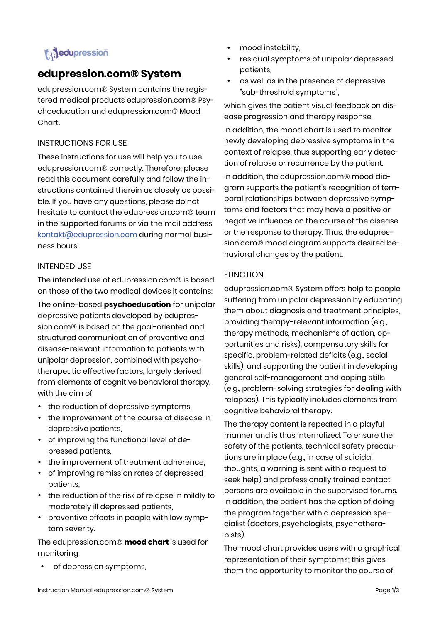# **i** dupression

## **edupression.com® System**

edupression.com® System contains the registered medical products edupression.com® Psychoeducation and edupression.com® Mood Chart.

## INSTRUCTIONS FOR USE

These instructions for use will help you to use edupression.com® correctly. Therefore, please read this document carefully and follow the instructions contained therein as closely as possible. If you have any questions, please do not hesitate to contact the edupression.com® team in the supported forums or via the mail address kontakt@edupression.com during normal business hours.

## INTENDED USE

The intended use of edupression.com® is based on those of the two medical devices it contains:

The online-based **psychoeducation** for unipolar depressive patients developed by edupression.com® is based on the goal-oriented and structured communication of preventive and disease-relevant information to patients with unipolar depression, combined with psychotherapeutic effective factors, largely derived from elements of cognitive behavioral therapy, with the aim of

- the reduction of depressive symptoms,
- the improvement of the course of disease in depressive patients,
- of improving the functional level of depressed patients,
- the improvement of treatment adherence,
- of improving remission rates of depressed patients,
- the reduction of the risk of relapse in mildly to moderately ill depressed patients,
- preventive effects in people with low symptom severity.

The edupression.com® **mood chart** is used for monitoring

of depression symptoms,

- mood instability,
- residual symptoms of unipolar depressed patients,
- as well as in the presence of depressive "sub-threshold symptoms",

which gives the patient visual feedback on disease progression and therapy response.

In addition, the mood chart is used to monitor newly developing depressive symptoms in the context of relapse, thus supporting early detection of relapse or recurrence by the patient.

In addition, the edupression.com® mood diagram supports the patient's recognition of temporal relationships between depressive symptoms and factors that may have a positive or negative influence on the course of the disease or the response to therapy. Thus, the edupression.com® mood diagram supports desired behavioral changes by the patient.

## FUNCTION

edupression.com® System offers help to people suffering from unipolar depression by educating them about diagnosis and treatment principles, providing therapy-relevant information (e.g., therapy methods, mechanisms of action, opportunities and risks), compensatory skills for specific, problem-related deficits (e.g., social skills), and supporting the patient in developing general self-management and coping skills (e.g., problem-solving strategies for dealing with relapses). This typically includes elements from cognitive behavioral therapy.

The therapy content is repeated in a playful manner and is thus internalized. To ensure the safety of the patients, technical safety precautions are in place (e.g., in case of suicidal thoughts, a warning is sent with a request to seek help) and professionally trained contact persons are available in the supervised forums. In addition, the patient has the option of doing the program together with a depression specialist (doctors, psychologists, psychotherapists).

The mood chart provides users with a graphical representation of their symptoms; this gives them the opportunity to monitor the course of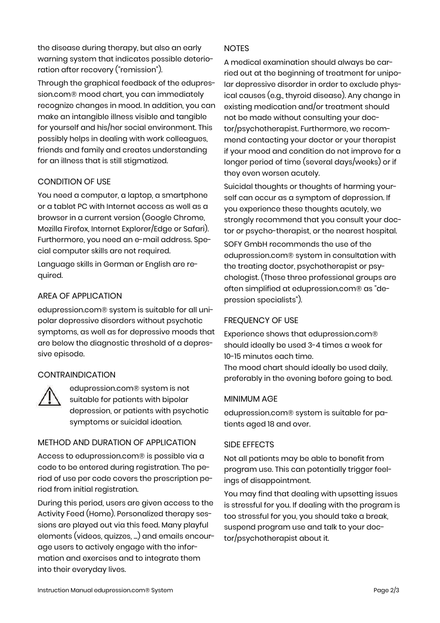the disease during therapy, but also an early warning system that indicates possible deterioration after recovery ("remission").

Through the graphical feedback of the edupression.com® mood chart, you can immediately recognize changes in mood. In addition, you can make an intangible illness visible and tangible for yourself and his/her social environment. This possibly helps in dealing with work colleagues, friends and family and creates understanding for an illness that is still stigmatized.

## CONDITION OF USE

You need a computer, a laptop, a smartphone or a tablet PC with Internet access as well as a browser in a current version (Google Chrome, Mozilla Firefox, Internet Explorer/Edge or Safari). Furthermore, you need an e-mail address. Special computer skills are not required.

Language skills in German or English are required.

## AREA OF APPLICATION

edupression.com® system is suitable for all unipolar depressive disorders without psychotic symptoms, as well as for depressive moods that are below the diagnostic threshold of a depressive episode.

## **CONTRAINDICATION**



edupression.com® system is not suitable for patients with bipolar depression, or patients with psychotic symptoms or suicidal ideation.

## METHOD AND DURATION OF APPLICATION

Access to edupression.com® is possible via a code to be entered during registration. The period of use per code covers the prescription period from initial registration.

During this period, users are given access to the Activity Feed (Home). Personalized therapy sessions are played out via this feed. Many playful elements (videos, quizzes, ...) and emails encourage users to actively engage with the information and exercises and to integrate them into their everyday lives.

## NOTES

A medical examination should always be carried out at the beginning of treatment for unipolar depressive disorder in order to exclude physical causes (e.g., thyroid disease). Any change in existing medication and/or treatment should not be made without consulting your doctor/psychotherapist. Furthermore, we recommend contacting your doctor or your therapist if your mood and condition do not improve for a longer period of time (several days/weeks) or if they even worsen acutely.

Suicidal thoughts or thoughts of harming yourself can occur as a symptom of depression. If you experience these thoughts acutely, we strongly recommend that you consult your doctor or psycho-therapist, or the nearest hospital.

SOFY GmbH recommends the use of the edupression.com® system in consultation with the treating doctor, psychotherapist or psychologist. (These three professional groups are often simplified at edupression.com® as "depression specialists").

## FREQUENCY OF USE

Experience shows that edupression.com® should ideally be used 3-4 times a week for 10-15 minutes each time.

The mood chart should ideally be used daily, preferably in the evening before going to bed.

## MINIMUM AGE

edupression.com® system is suitable for patients aged 18 and over.

## SIDE EFFECTS

Not all patients may be able to benefit from program use. This can potentially trigger feelings of disappointment.

You may find that dealing with upsetting issues is stressful for you. If dealing with the program is too stressful for you, you should take a break, suspend program use and talk to your doctor/psychotherapist about it.